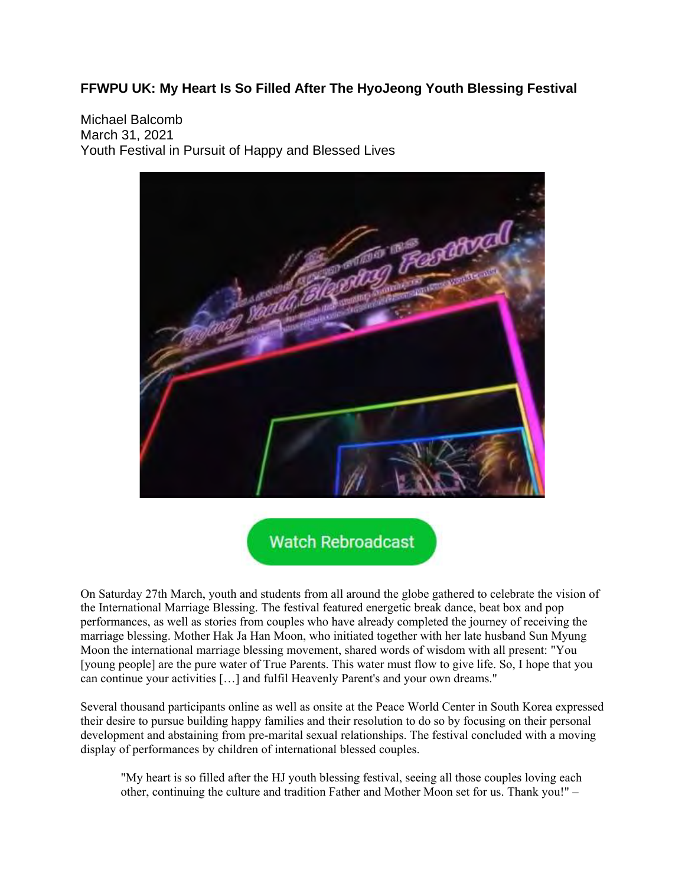## **FFWPU UK: My Heart Is So Filled After The HyoJeong Youth Blessing Festival**

Michael Balcomb March 31, 2021 Youth Festival in Pursuit of Happy and Blessed Lives



**Watch Rebroadcast** 

On Saturday 27th March, youth and students from all around the globe gathered to celebrate the vision of the International Marriage Blessing. The festival featured energetic break dance, beat box and pop performances, as well as stories from couples who have already completed the journey of receiving the marriage blessing. Mother Hak Ja Han Moon, who initiated together with her late husband Sun Myung Moon the international marriage blessing movement, shared words of wisdom with all present: "You [young people] are the pure water of True Parents. This water must flow to give life. So, I hope that you can continue your activities […] and fulfil Heavenly Parent's and your own dreams."

Several thousand participants online as well as onsite at the Peace World Center in South Korea expressed their desire to pursue building happy families and their resolution to do so by focusing on their personal development and abstaining from pre-marital sexual relationships. The festival concluded with a moving display of performances by children of international blessed couples.

"My heart is so filled after the HJ youth blessing festival, seeing all those couples loving each other, continuing the culture and tradition Father and Mother Moon set for us. Thank you!" –